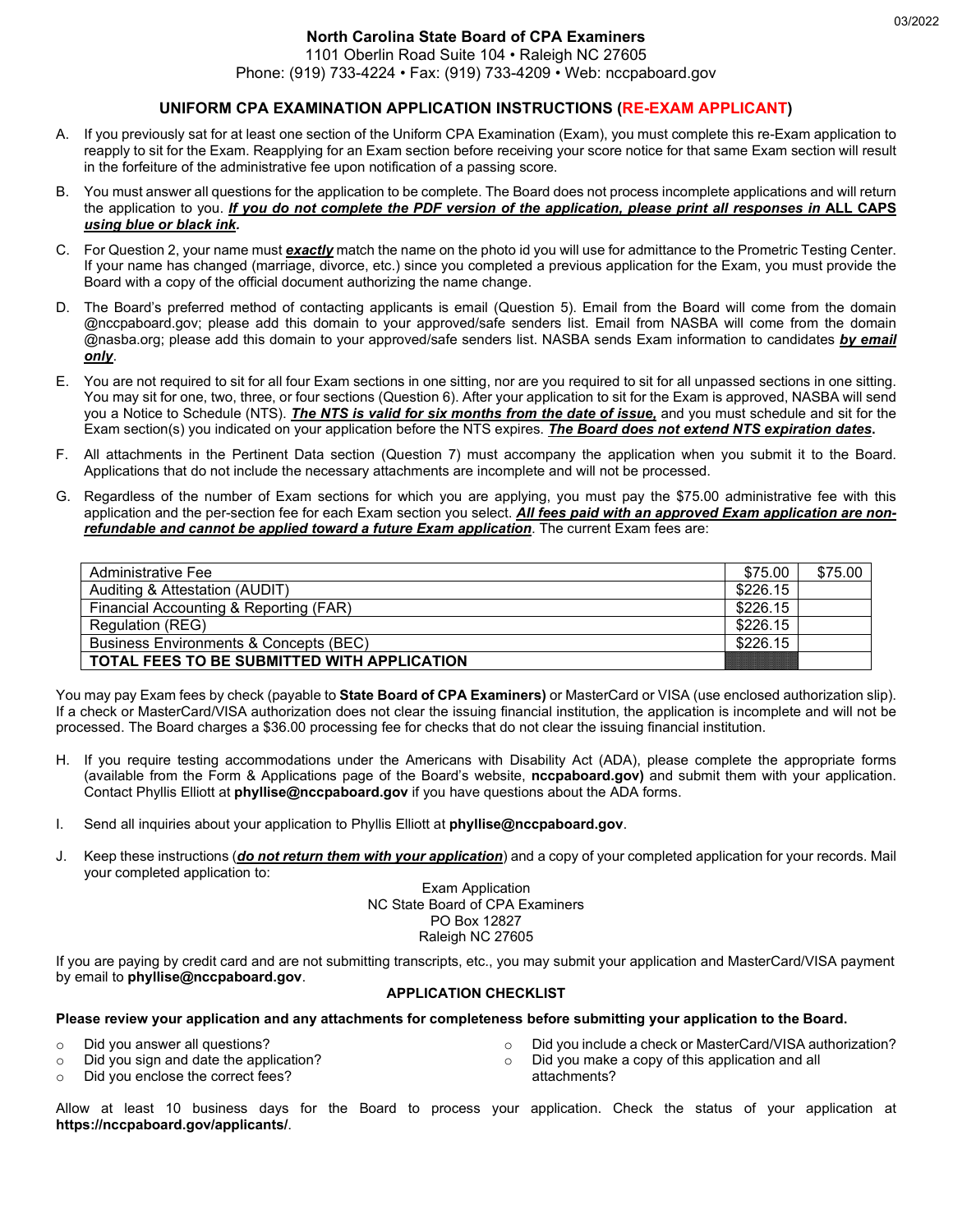#### **North Carolina State Board of CPA Examiners** 1101 Oberlin Road Suite 104 • Raleigh NC 27605

Phone: (919) 733-4224 • Fax: (919) 733-4209 • Web: nccpaboard.gov

## **UNIFORM CPA EXAMINATION APPLICATION INSTRUCTIONS (RE-EXAM APPLICANT)**

- A. If you previously sat for at least one section of the Uniform CPA Examination (Exam), you must complete this re-Exam application to reapply to sit for the Exam. Reapplying for an Exam section before receiving your score notice for that same Exam section will result in the forfeiture of the administrative fee upon notification of a passing score.
- B. You must answer all questions for the application to be complete. The Board does not process incomplete applications and will return the application to you. *If you do not complete the PDF version of the application, please print all responses in* **ALL CAPS** *using blue or black ink.*
- C. For Question 2, your name must *exactly* match the name on the photo id you will use for admittance to the Prometric Testing Center. If your name has changed (marriage, divorce, etc.) since you completed a previous application for the Exam, you must provide the Board with a copy of the official document authorizing the name change.
- D. The Board's preferred method of contacting applicants is email (Question 5). Email from the Board will come from the domain @nccpaboard.gov; please add this domain to your approved/safe senders list. Email from NASBA will come from the domain @nasba.org; please add this domain to your approved/safe senders list. NASBA sends Exam information to candidates *by email only*.
- E. You are not required to sit for all four Exam sections in one sitting, nor are you required to sit for all unpassed sections in one sitting. You may sit for one, two, three, or four sections (Question 6). After your application to sit for the Exam is approved, NASBA will send you a Notice to Schedule (NTS). *The NTS is valid for six months from the date of issue,* and you must schedule and sit for the Exam section(s) you indicated on your application before the NTS expires. *The Board does not extend NTS expiration dates***.**
- F. All attachments in the Pertinent Data section (Question 7) must accompany the application when you submit it to the Board. Applications that do not include the necessary attachments are incomplete and will not be processed.
- G. Regardless of the number of Exam sections for which you are applying, you must pay the \$75.00 administrative fee with this application and the per-section fee for each Exam section you select. *All fees paid with an approved Exam application are nonrefundable and cannot be applied toward a future Exam application*. The current Exam fees are:

| Administrative Fee                                 | \$75.00  | \$75.00 |
|----------------------------------------------------|----------|---------|
| Auditing & Attestation (AUDIT)                     | \$226.15 |         |
| Financial Accounting & Reporting (FAR)             | \$226.15 |         |
| Regulation (REG)                                   | \$226.15 |         |
| Business Environments & Concepts (BEC)             | \$226.15 |         |
| <b>TOTAL FEES TO BE SUBMITTED WITH APPLICATION</b> |          |         |
|                                                    |          |         |

You may pay Exam fees by check (payable to **State Board of CPA Examiners)** or MasterCard or VISA (use enclosed authorization slip). If a check or MasterCard/VISA authorization does not clear the issuing financial institution, the application is incomplete and will not be processed. The Board charges a \$36.00 processing fee for checks that do not clear the issuing financial institution.

- H. If you require testing accommodations under the Americans with Disability Act (ADA), please complete the appropriate forms (available from the Form & Applications page of the Board's website, **nccpaboard.gov)** and submit them with your application. Contact Phyllis Elliott at **phyllise@nccpaboard.gov** if you have questions about the ADA forms.
- I. Send all inquiries about your application to Phyllis Elliott at **phyllise@nccpaboard.gov**.
- J. Keep these instructions (*do not return them with your application*) and a copy of your completed application for your records. Mail your completed application to:

Exam Application NC State Board of CPA Examiners PO Box 12827 Raleigh NC 27605

If you are paying by credit card and are not submitting transcripts, etc., you may submit your application and MasterCard/VISA payment by email to **phyllise@nccpaboard.gov**.

### **APPLICATION CHECKLIST**

### **Please review your application and any attachments for completeness before submitting your application to the Board.**

- o Did you answer all questions?
- o Did you sign and date the application?
- o Did you enclose the correct fees?
- $\circ$  Did you include a check or MasterCard/VISA authorization?<br> $\circ$  Did you make a copy of this application and all
- Did you make a copy of this application and all attachments?

Allow at least 10 business days for the Board to process your application. Check the status of your application at **https://nccpaboard.gov/applicants/**.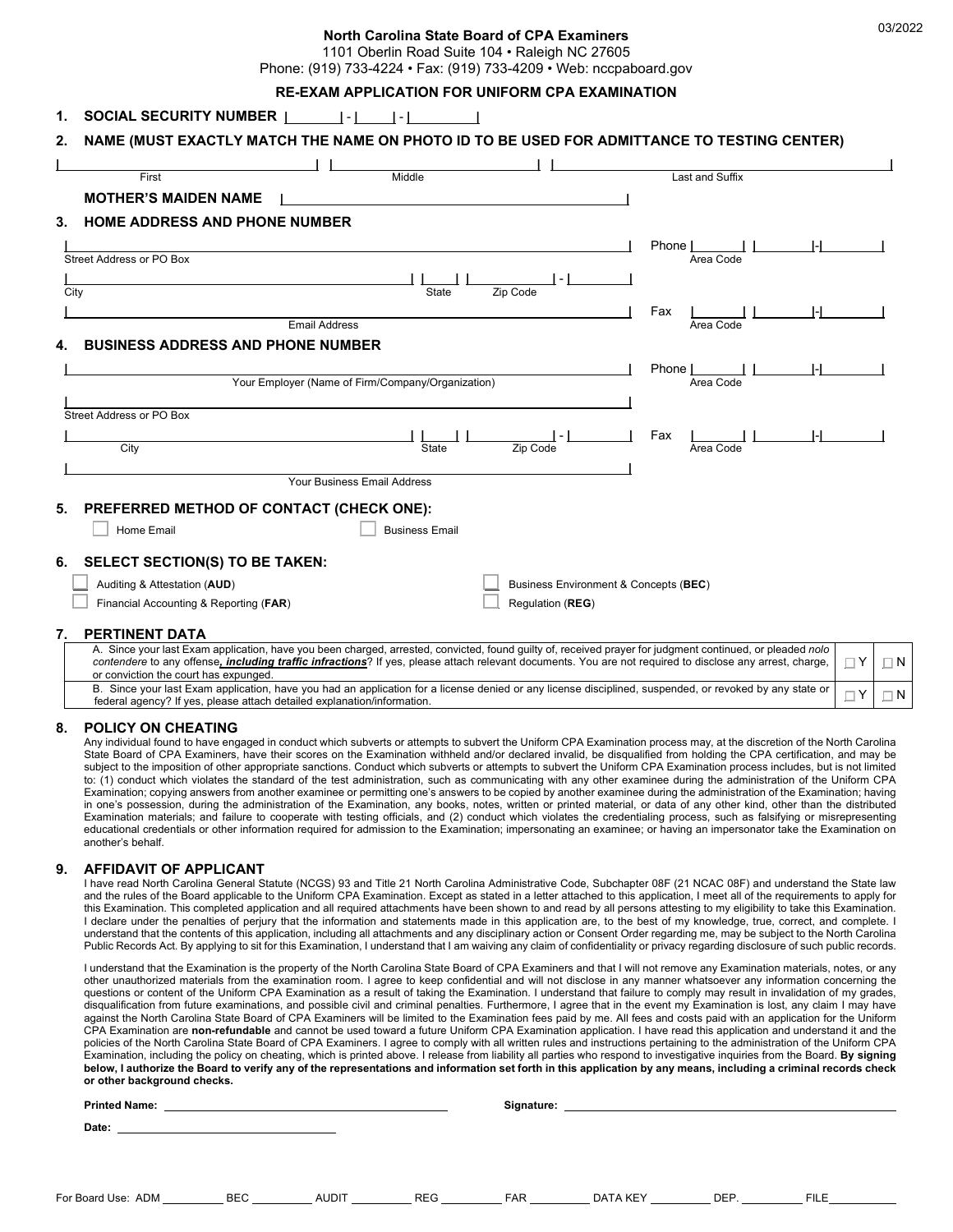#### **North Carolina State Board of CPA Examiners**

1101 Oberlin Road Suite 104 • Raleigh NC 27605

Phone: (919) 733-4224 • Fax: (919) 733-4209 • Web: nccpaboard.gov

## **RE-EXAM APPLICATION FOR UNIFORM CPA EXAMINATION**

| Middle<br>First<br><b>MOTHER'S MAIDEN NAME</b><br><b>HOME ADDRESS AND PHONE NUMBER</b><br>Street Address or PO Box | Last and Suffix  |  |
|--------------------------------------------------------------------------------------------------------------------|------------------|--|
|                                                                                                                    |                  |  |
|                                                                                                                    |                  |  |
|                                                                                                                    |                  |  |
|                                                                                                                    | Phone            |  |
|                                                                                                                    | Area Code        |  |
|                                                                                                                    |                  |  |
| State<br>Zip Code<br>City                                                                                          |                  |  |
| <b>Email Address</b>                                                                                               | Fax              |  |
|                                                                                                                    | Area Code        |  |
| <b>BUSINESS ADDRESS AND PHONE NUMBER</b>                                                                           |                  |  |
|                                                                                                                    | Phone            |  |
| Your Employer (Name of Firm/Company/Organization)                                                                  | Area Code        |  |
| Street Address or PO Box                                                                                           |                  |  |
|                                                                                                                    |                  |  |
| City<br>State<br>Zip Code                                                                                          | Fax<br>Area Code |  |
|                                                                                                                    |                  |  |
| Your Business Email Address                                                                                        |                  |  |
| PREFERRED METHOD OF CONTACT (CHECK ONE):                                                                           |                  |  |
| Home Email<br><b>Business Email</b>                                                                                |                  |  |
| <b>SELECT SECTION(S) TO BE TAKEN:</b>                                                                              |                  |  |
| Business Environment & Concepts (BEC)<br>Auditing & Attestation (AUD)                                              |                  |  |
| Financial Accounting & Reporting (FAR)<br>Regulation (REG)                                                         |                  |  |
| PERTINENT DATA                                                                                                     |                  |  |

### B. Since your last Exam application, have you had an application for a license denied or any license disciplined, suspended, or revoked by any state or federal agency? If yes, please attach detailed explanation/information. Y N

#### **8. POLICY ON CHEATING**

Any individual found to have engaged in conduct which subverts or attempts to subvert the Uniform CPA Examination process may, at the discretion of the North Carolina State Board of CPA Examiners, have their scores on the Examination withheld and/or declared invalid, be disqualified from holding the CPA certification, and may be subject to the imposition of other appropriate sanctions. Conduct which subverts or attempts to subvert the Uniform CPA Examination process includes, but is not limited to: (1) conduct which violates the standard of the test administration, such as communicating with any other examinee during the administration of the Uniform CPA Examination; copying answers from another examinee or permitting one's answers to be copied by another examinee during the administration of the Examination; having in one's possession, during the administration of the Examination, any books, notes, written or printed material, or data of any other kind, other than the distributed Examination materials; and failure to cooperate with testing officials, and (2) conduct which violates the credentialing process, such as falsifying or misrepresenting educational credentials or other information required for admission to the Examination; impersonating an examinee; or having an impersonator take the Examination on another's behalf.

#### **9. AFFIDAVIT OF APPLICANT**

I have read North Carolina General Statute (NCGS) 93 and Title 21 North Carolina Administrative Code, Subchapter 08F (21 NCAC 08F) and understand the State law and the rules of the Board applicable to the Uniform CPA Examination. Except as stated in a letter attached to this application, I meet all of the requirements to apply for this Examination. This completed application and all required attachments have been shown to and read by all persons attesting to my eligibility to take this Examination. I declare under the penalties of perjury that the information and statements made in this application are, to the best of my knowledge, true, correct, and complete. I understand that the contents of this application, including all attachments and any disciplinary action or Consent Order regarding me, may be subject to the North Carolina Public Records Act. By applying to sit for this Examination, I understand that I am waiving any claim of confidentiality or privacy regarding disclosure of such public records.

I understand that the Examination is the property of the North Carolina State Board of CPA Examiners and that I will not remove any Examination materials, notes, or any other unauthorized materials from the examination room. I agree to keep confidential and will not disclose in any manner whatsoever any information concerning the questions or content of the Uniform CPA Examination as a result of taking the Examination. I understand that failure to comply may result in invalidation of my grades, disqualification from future examinations, and possible civil and criminal penalties. Furthermore, I agree that in the event my Examination is lost, any claim I may have against the North Carolina State Board of CPA Examiners will be limited to the Examination fees paid by me. All fees and costs paid with an application for the Uniform CPA Examination are **non-refundable** and cannot be used toward a future Uniform CPA Examination application. I have read this application and understand it and the policies of the North Carolina State Board of CPA Examiners. I agree to comply with all written rules and instructions pertaining to the administration of the Uniform CPA Examination, including the policy on cheating, which is printed above. I release from liability all parties who respond to investigative inquiries from the Board. **By signing below, I authorize the Board to verify any of the representations and information set forth in this application by any means, including a criminal records check or other background checks.** 

| <b>Printed Name:</b> |                    |            |              |            | Signature: |          |      |             |
|----------------------|--------------------|------------|--------------|------------|------------|----------|------|-------------|
|                      | Date:              |            |              |            |            |          |      |             |
|                      |                    |            |              |            |            |          |      |             |
|                      |                    |            |              |            |            |          |      |             |
|                      | For Board Use: ADM | <b>BEC</b> | <b>AUDIT</b> | <b>REG</b> | <b>FAR</b> | DATA KEY | DEP. | <b>FILE</b> |